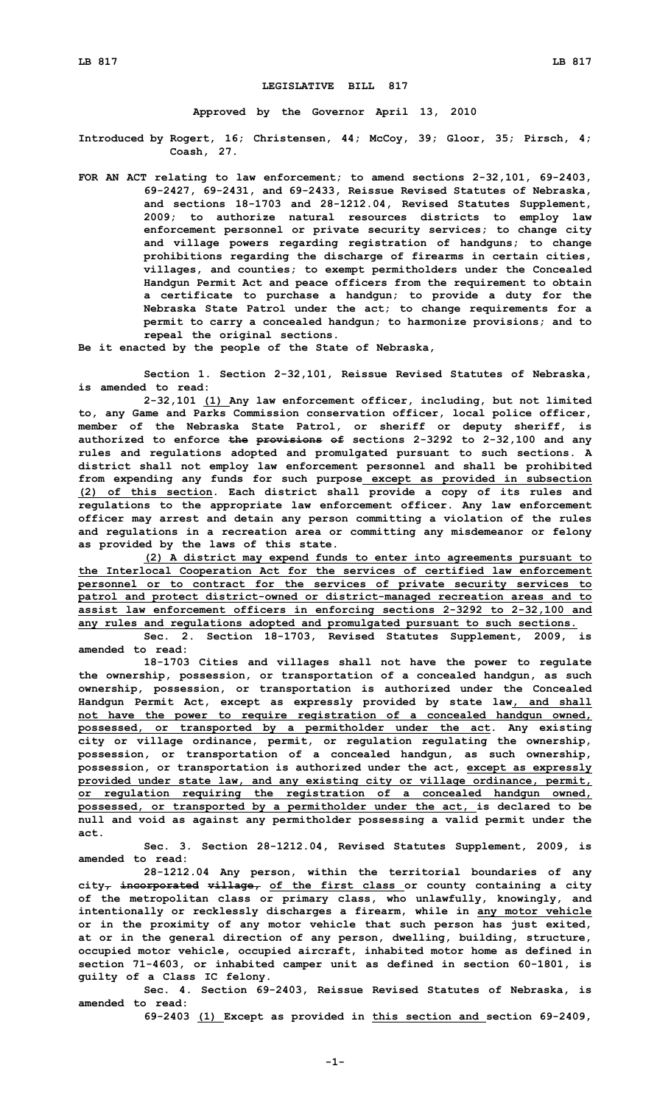## **LEGISLATIVE BILL 817**

**Approved by the Governor April 13, 2010**

**Introduced by Rogert, 16; Christensen, 44; McCoy, 39; Gloor, 35; Pirsch, 4; Coash, 27.**

**FOR AN ACT relating to law enforcement; to amend sections 2-32,101, 69-2403, 69-2427, 69-2431, and 69-2433, Reissue Revised Statutes of Nebraska, and sections 18-1703 and 28-1212.04, Revised Statutes Supplement, 2009; to authorize natural resources districts to employ law enforcement personnel or private security services; to change city and village powers regarding registration of handguns; to change prohibitions regarding the discharge of firearms in certain cities, villages, and counties; to exempt permitholders under the Concealed Handgun Permit Act and peace officers from the requirement to obtain <sup>a</sup> certificate to purchase <sup>a</sup> handgun; to provide <sup>a</sup> duty for the Nebraska State Patrol under the act; to change requirements for <sup>a</sup> permit to carry <sup>a</sup> concealed handgun; to harmonize provisions; and to repeal the original sections.**

**Be it enacted by the people of the State of Nebraska,**

**Section 1. Section 2-32,101, Reissue Revised Statutes of Nebraska, is amended to read:**

**2-32,101 (1) Any law enforcement officer, including, but not limited to, any Game and Parks Commission conservation officer, local police officer, member of the Nebraska State Patrol, or sheriff or deputy sheriff, is authorized to enforce the provisions of sections 2-3292 to 2-32,100 and any rules and regulations adopted and promulgated pursuant to such sections. A district shall not employ law enforcement personnel and shall be prohibited from expending any funds for such purpose except as provided in subsection (2) of this section. Each district shall provide <sup>a</sup> copy of its rules and regulations to the appropriate law enforcement officer. Any law enforcement officer may arrest and detain any person committing <sup>a</sup> violation of the rules and regulations in <sup>a</sup> recreation area or committing any misdemeanor or felony as provided by the laws of this state.**

**(2) <sup>A</sup> district may expend funds to enter into agreements pursuant to the Interlocal Cooperation Act for the services of certified law enforcement personnel or to contract for the services of private security services to patrol and protect district-owned or district-managed recreation areas and to assist law enforcement officers in enforcing sections 2-3292 to 2-32,100 and any rules and regulations adopted and promulgated pursuant to such sections.**

**Sec. 2. Section 18-1703, Revised Statutes Supplement, 2009, is amended to read:**

**18-1703 Cities and villages shall not have the power to regulate the ownership, possession, or transportation of <sup>a</sup> concealed handgun, as such ownership, possession, or transportation is authorized under the Concealed Handgun Permit Act, except as expressly provided by state law, and shall not have the power to require registration of <sup>a</sup> concealed handgun owned, possessed, or transported by <sup>a</sup> permitholder under the act. Any existing city or village ordinance, permit, or regulation regulating the ownership, possession, or transportation of <sup>a</sup> concealed handgun, as such ownership, possession, or transportation is authorized under the act, except as expressly provided under state law, and any existing city or village ordinance, permit, or regulation requiring the registration of <sup>a</sup> concealed handgun owned, possessed, or transported by <sup>a</sup> permitholder under the act, is declared to be null and void as against any permitholder possessing <sup>a</sup> valid permit under the act.**

**Sec. 3. Section 28-1212.04, Revised Statutes Supplement, 2009, is amended to read:**

**28-1212.04 Any person, within the territorial boundaries of any city, incorporated village, of the first class or county containing <sup>a</sup> city of the metropolitan class or primary class, who unlawfully, knowingly, and intentionally or recklessly discharges <sup>a</sup> firearm, while in any motor vehicle or in the proximity of any motor vehicle that such person has just exited, at or in the general direction of any person, dwelling, building, structure, occupied motor vehicle, occupied aircraft, inhabited motor home as defined in section 71-4603, or inhabited camper unit as defined in section 60-1801, is guilty of <sup>a</sup> Class IC felony.**

**Sec. 4. Section 69-2403, Reissue Revised Statutes of Nebraska, is amended to read:**

**69-2403 (1) Except as provided in this section and section 69-2409,**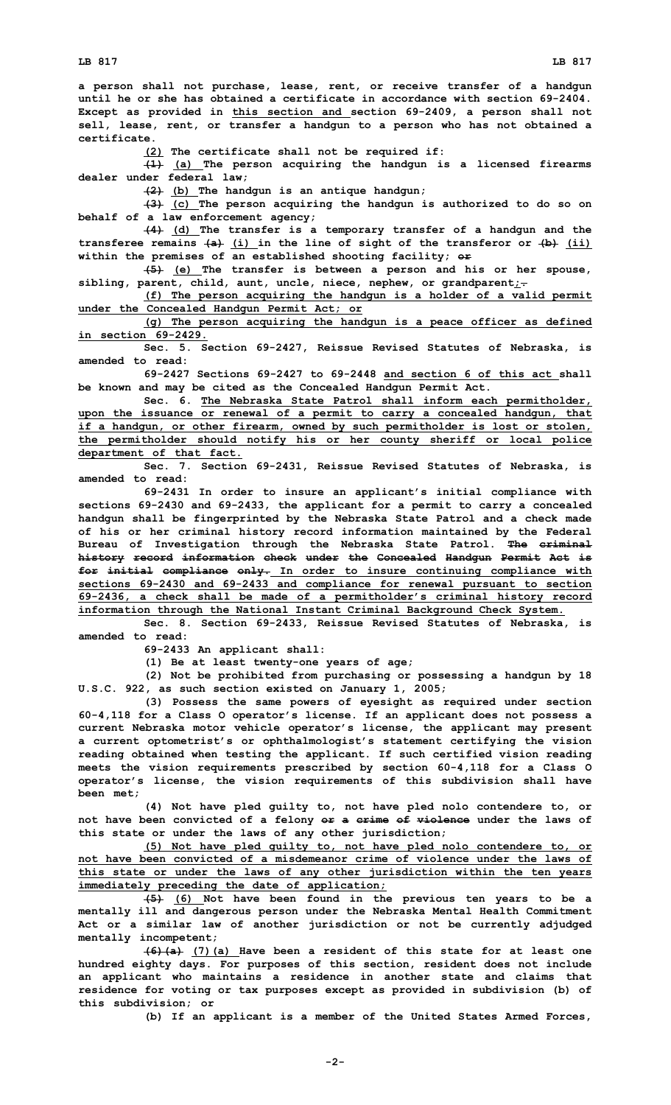**<sup>a</sup> person shall not purchase, lease, rent, or receive transfer of <sup>a</sup> handgun until he or she has obtained a certificate in accordance with section 69-2404. Except as provided in this section and section 69-2409, <sup>a</sup> person shall not sell, lease, rent, or transfer <sup>a</sup> handgun to <sup>a</sup> person who has not obtained <sup>a</sup> certificate.**

**(2) The certificate shall not be required if:**

**(1) (a) The person acquiring the handgun is <sup>a</sup> licensed firearms dealer under federal law;**

**(2) (b) The handgun is an antique handgun;**

**(3) (c) The person acquiring the handgun is authorized to do so on behalf of <sup>a</sup> law enforcement agency;**

**(4) (d) The transfer is <sup>a</sup> temporary transfer of <sup>a</sup> handgun and the transferee remains (a) (i) in the line of sight of the transferor or (b) (ii) within the premises of an established shooting facility; or**

**(5) (e) The transfer is between <sup>a</sup> person and his or her spouse, sibling, parent, child, aunt, uncle, niece, nephew, or grandparent;.**

**(f) The person acquiring the handgun is <sup>a</sup> holder of <sup>a</sup> valid permit under the Concealed Handgun Permit Act; or**

**(g) The person acquiring the handgun is <sup>a</sup> peace officer as defined in section 69-2429.**

**Sec. 5. Section 69-2427, Reissue Revised Statutes of Nebraska, is amended to read:**

**69-2427 Sections 69-2427 to 69-2448 and section 6 of this act shall be known and may be cited as the Concealed Handgun Permit Act.**

**Sec. 6. The Nebraska State Patrol shall inform each permitholder, upon the issuance or renewal of <sup>a</sup> permit to carry <sup>a</sup> concealed handgun, that if <sup>a</sup> handgun, or other firearm, owned by such permitholder is lost or stolen, the permitholder should notify his or her county sheriff or local police department of that fact.**

**Sec. 7. Section 69-2431, Reissue Revised Statutes of Nebraska, is amended to read:**

**69-2431 In order to insure an applicant's initial compliance with sections 69-2430 and 69-2433, the applicant for <sup>a</sup> permit to carry <sup>a</sup> concealed handgun shall be fingerprinted by the Nebraska State Patrol and <sup>a</sup> check made of his or her criminal history record information maintained by the Federal Bureau of Investigation through the Nebraska State Patrol. The criminal history record information check under the Concealed Handgun Permit Act is for initial compliance only. In order to insure continuing compliance with sections 69-2430 and 69-2433 and compliance for renewal pursuant to section 69-2436, <sup>a</sup> check shall be made of <sup>a</sup> permitholder's criminal history record information through the National Instant Criminal Background Check System.**

**Sec. 8. Section 69-2433, Reissue Revised Statutes of Nebraska, is amended to read:**

**69-2433 An applicant shall:**

**(1) Be at least twenty-one years of age;**

**(2) Not be prohibited from purchasing or possessing <sup>a</sup> handgun by 18 U.S.C. 922, as such section existed on January 1, 2005;**

**(3) Possess the same powers of eyesight as required under section 60-4,118 for <sup>a</sup> Class O operator's license. If an applicant does not possess <sup>a</sup> current Nebraska motor vehicle operator's license, the applicant may present <sup>a</sup> current optometrist's or ophthalmologist's statement certifying the vision reading obtained when testing the applicant. If such certified vision reading meets the vision requirements prescribed by section 60-4,118 for <sup>a</sup> Class O operator's license, the vision requirements of this subdivision shall have been met;**

**(4) Not have pled guilty to, not have pled nolo contendere to, or not have been convicted of <sup>a</sup> felony or <sup>a</sup> crime of violence under the laws of this state or under the laws of any other jurisdiction;**

**(5) Not have pled guilty to, not have pled nolo contendere to, or not have been convicted of a misdemeanor crime of violence under the laws of this state or under the laws of any other jurisdiction within the ten years immediately preceding the date of application;**

**(5) (6) Not have been found in the previous ten years to be <sup>a</sup> mentally ill and dangerous person under the Nebraska Mental Health Commitment Act or <sup>a</sup> similar law of another jurisdiction or not be currently adjudged mentally incompetent;**

**(6)(a) (7)(a) Have been <sup>a</sup> resident of this state for at least one hundred eighty days. For purposes of this section, resident does not include an applicant who maintains <sup>a</sup> residence in another state and claims that residence for voting or tax purposes except as provided in subdivision (b) of this subdivision; or**

**(b) If an applicant is <sup>a</sup> member of the United States Armed Forces,**